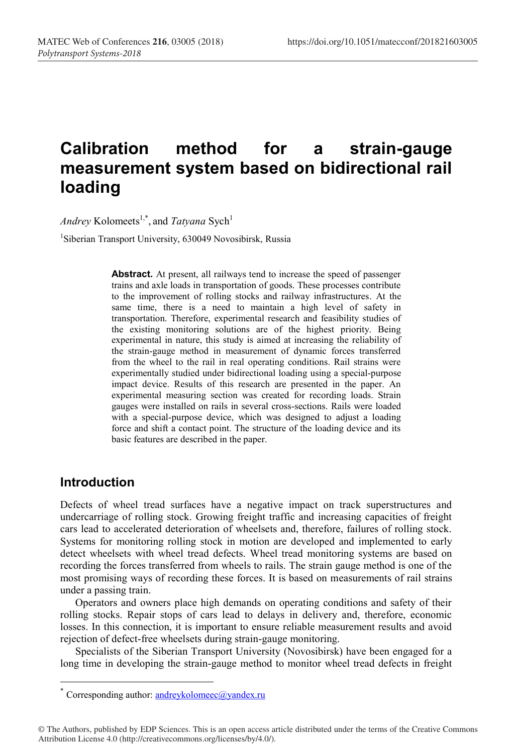# **Сalibration method for a strain-gauge measurement system based on bidirectional rail loading**

*Andrey* Kolomeets<sup>1,\*</sup>, and *Tatyana* Sych<sup>1</sup>

<sup>1</sup>Siberian Transport University, 630049 Novosibirsk, Russia

**Abstract.** At present, all railways tend to increase the speed of passenger trains and axle loads in transportation of goods. These processes contribute to the improvement of rolling stocks and railway infrastructures. At the same time, there is a need to maintain a high level of safety in transportation. Therefore, experimental research and feasibility studies of the existing monitoring solutions are of the highest priority. Being experimental in nature, this study is aimed at increasing the reliability of the strain-gauge method in measurement of dynamic forces transferred from the wheel to the rail in real operating conditions. Rail strains were experimentally studied under bidirectional loading using a special-purpose impact device. Results of this research are presented in the paper. An experimental measuring section was created for recording loads. Strain gauges were installed on rails in several cross-sections. Rails were loaded with a special-purpose device, which was designed to adjust a loading force and shift a contact point. The structure of the loading device and its basic features are described in the paper.

#### **Introduction**

Defects of wheel tread surfaces have a negative impact on track superstructures and undercarriage of rolling stock. Growing freight traffic and increasing capacities of freight cars lead to accelerated deterioration of wheelsets and, therefore, failures of rolling stock. Systems for monitoring rolling stock in motion are developed and implemented to early detect wheelsets with wheel tread defects. Wheel tread monitoring systems are based on recording the forces transferred from wheels to rails. The strain gauge method is one of the most promising ways of recording these forces. It is based on measurements of rail strains under a passing train.

Operators and owners place high demands on operating conditions and safety of their rolling stocks. Repair stops of cars lead to delays in delivery and, therefore, economic losses. In this connection, it is important to ensure reliable measurement results and avoid rejection of defect-free wheelsets during strain-gauge monitoring.

Specialists of the Siberian Transport University (Novosibirsk) have been engaged for a long time in developing the strain-gauge method to monitor wheel tread defects in freight

© The Authors, published by EDP Sciences. This is an open access article distributed under the terms of the Creative Commons Attribution License 4.0 (http://creativecommons.org/licenses/by/4.0/).

 <sup>\*</sup> Corresponding author: andreykolomeec@yandex.ru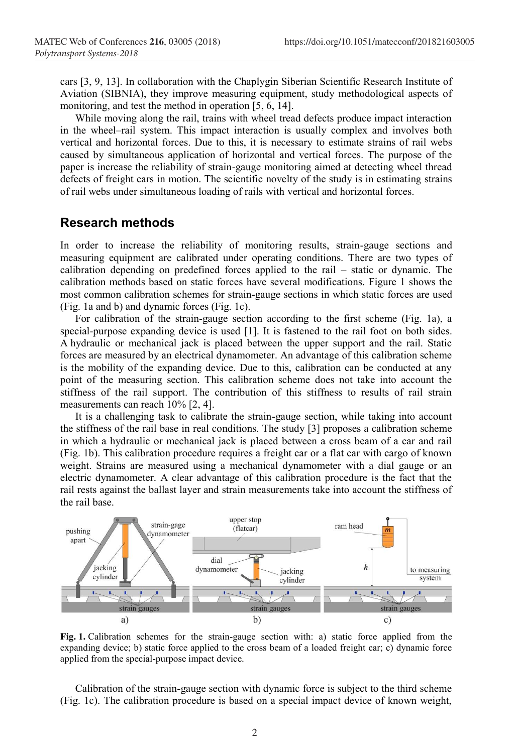cars [3, 9, 13]. In collaboration with the Chaplygin Siberian Scientific Research Institute of Aviation (SIBNIA), they improve measuring equipment, study methodological aspects of monitoring, and test the method in operation [5, 6, 14].

While moving along the rail, trains with wheel tread defects produce impact interaction in the wheel–rail system. This impact interaction is usually complex and involves both vertical and horizontal forces. Due to this, it is necessary to estimate strains of rail webs caused by simultaneous application of horizontal and vertical forces. The purpose of the paper is increase the reliability of strain-gauge monitoring aimed at detecting wheel thread defects of freight cars in motion. The scientific novelty of the study is in estimating strains of rail webs under simultaneous loading of rails with vertical and horizontal forces.

#### **Research methods**

In order to increase the reliability of monitoring results, strain-gauge sections and measuring equipment are calibrated under operating conditions. There are two types of calibration depending on predefined forces applied to the rail – static or dynamic. The calibration methods based on static forces have several modifications. Figure 1 shows the most common calibration schemes for strain-gauge sections in which static forces are used (Fig. 1а and b) and dynamic forces (Fig. 1c).

For calibration of the strain-gauge section according to the first scheme (Fig. 1а), a special-purpose expanding device is used [1]. It is fastened to the rail foot on both sides. A hydraulic or mechanical jack is placed between the upper support and the rail. Static forces are measured by an electrical dynamometer. An advantage of this calibration scheme is the mobility of the expanding device. Due to this, calibration can be conducted at any point of the measuring section. This calibration scheme does not take into account the stiffness of the rail support. The contribution of this stiffness to results of rail strain measurements can reach 10% [2, 4].

It is a challenging task to calibrate the strain-gauge section, while taking into account the stiffness of the rail base in real conditions. The study [3] proposes a calibration scheme in which a hydraulic or mechanical jack is placed between a cross beam of a car and rail (Fig. 1b). This calibration procedure requires a freight car or a flat car with cargo of known weight. Strains are measured using a mechanical dynamometer with a dial gauge or an electric dynamometer. A clear advantage of this calibration procedure is the fact that the rail rests against the ballast layer and strain measurements take into account the stiffness of the rail base.



**Fig. 1.** Calibration schemes for the strain-gauge section with: a) static force applied from the expanding device; b) static force applied to the cross beam of a loaded freight car; c) dynamic force applied from the special-purpose impact device.

Calibration of the strain-gauge section with dynamic force is subject to the third scheme (Fig. 1c). The calibration procedure is based on a special impact device of known weight,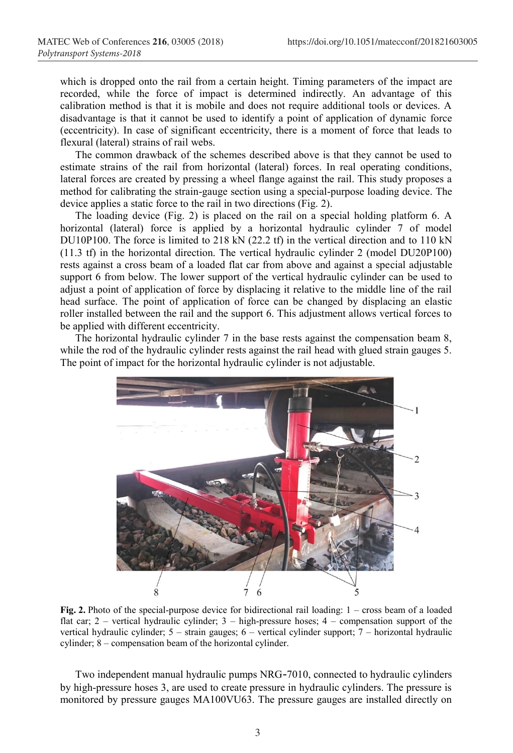which is dropped onto the rail from a certain height. Timing parameters of the impact are recorded, while the force of impact is determined indirectly. An advantage of this calibration method is that it is mobile and does not require additional tools or devices. A disadvantage is that it cannot be used to identify a point of application of dynamic force (eccentricity). In case of significant eccentricity, there is a moment of force that leads to flexural (lateral) strains of rail webs.

The common drawback of the schemes described above is that they cannot be used to estimate strains of the rail from horizontal (lateral) forces. In real operating conditions, lateral forces are created by pressing a wheel flange against the rail. This study proposes a method for calibrating the strain-gauge section using a special-purpose loading device. The device applies a static force to the rail in two directions (Fig. 2).

The loading device (Fig. 2) is placed on the rail on a special holding platform 6. A horizontal (lateral) force is applied by a horizontal hydraulic cylinder 7 of model DU10P100. The force is limited to 218 kN (22.2 tf) in the vertical direction and to 110 kN (11.3 tf) in the horizontal direction. The vertical hydraulic cylinder 2 (model DU20P100) rests against a cross beam of a loaded flat car from above and against a special adjustable support 6 from below. The lower support of the vertical hydraulic cylinder can be used to adjust a point of application of force by displacing it relative to the middle line of the rail head surface. The point of application of force can be changed by displacing an elastic roller installed between the rail and the support 6. This adjustment allows vertical forces to be applied with different eccentricity.

The horizontal hydraulic cylinder 7 in the base rests against the compensation beam 8, while the rod of the hydraulic cylinder rests against the rail head with glued strain gauges 5. The point of impact for the horizontal hydraulic cylinder is not adjustable.



**Fig. 2.** Photo of the special-purpose device for bidirectional rail loading: 1 – cross beam of a loaded flat car; 2 – vertical hydraulic cylinder; 3 – high-pressure hoses; 4 – compensation support of the vertical hydraulic cylinder; 5 – strain gauges; 6 – vertical cylinder support; 7 – horizontal hydraulic cylinder; 8 – compensation beam of the horizontal cylinder.

Two independent manual hydraulic pumps NRG-7010, connected to hydraulic cylinders by high-pressure hoses 3, are used to create pressure in hydraulic cylinders. The pressure is monitored by pressure gauges MA100VU63. The pressure gauges are installed directly on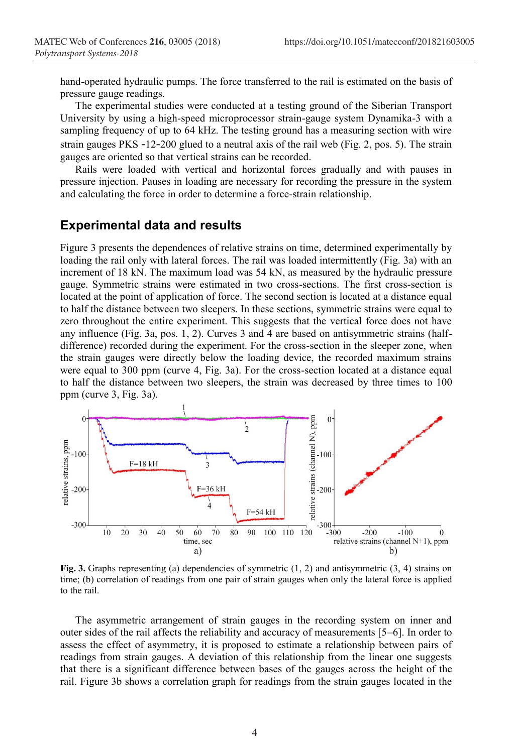hand-operated hydraulic pumps. The force transferred to the rail is estimated on the basis of pressure gauge readings.

The experimental studies were conducted at a testing ground of the Siberian Transport University by using a high-speed microprocessor strain-gauge system Dynamika-3 with a sampling frequency of up to 64 kHz. The testing ground has a measuring section with wire strain gauges PKS -12-200 glued to a neutral axis of the rail web (Fig. 2, pos. 5). The strain gauges are oriented so that vertical strains can be recorded.

Rails were loaded with vertical and horizontal forces gradually and with pauses in pressure injection. Pauses in loading are necessary for recording the pressure in the system and calculating the force in order to determine a force-strain relationship.

#### **Experimental data and results**

Figure 3 presents the dependences of relative strains on time, determined experimentally by loading the rail only with lateral forces. The rail was loaded intermittently (Fig. 3a) with an increment of 18 kN. The maximum load was 54 kN, as measured by the hydraulic pressure gauge. Symmetric strains were estimated in two cross-sections. The first cross-section is located at the point of application of force. The second section is located at a distance equal to half the distance between two sleepers. In these sections, symmetric strains were equal to zero throughout the entire experiment. This suggests that the vertical force does not have any influence (Fig. 3a, pos. 1, 2). Curves 3 and 4 are based on antisymmetric strains (halfdifference) recorded during the experiment. For the cross-section in the sleeper zone, when the strain gauges were directly below the loading device, the recorded maximum strains were equal to 300 ppm (curve 4, Fig. 3a). For the cross-section located at a distance equal to half the distance between two sleepers, the strain was decreased by three times to 100 ppm (curve 3, Fig. 3a).



**Fig. 3.** Graphs representing (a) dependencies of symmetric (1, 2) and antisymmetric (3, 4) strains on time; (b) correlation of readings from one pair of strain gauges when only the lateral force is applied to the rail.

The asymmetric arrangement of strain gauges in the recording system on inner and outer sides of the rail affects the reliability and accuracy of measurements [5–6]. In order to assess the effect of asymmetry, it is proposed to estimate a relationship between pairs of readings from strain gauges. A deviation of this relationship from the linear one suggests that there is a significant difference between bases of the gauges across the height of the rail. Figure 3b shows a correlation graph for readings from the strain gauges located in the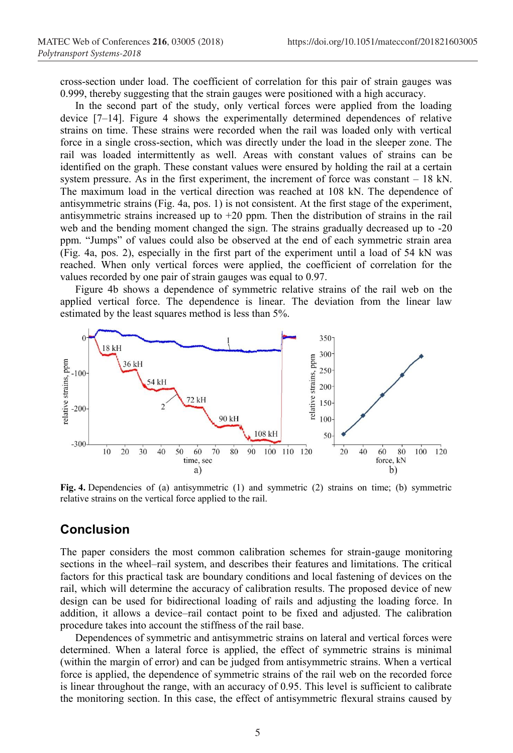cross-section under load. The coefficient of correlation for this pair of strain gauges was 0.999, thereby suggesting that the strain gauges were positioned with a high accuracy.

In the second part of the study, only vertical forces were applied from the loading device [7–14]. Figure 4 shows the experimentally determined dependences of relative strains on time. These strains were recorded when the rail was loaded only with vertical force in a single cross-section, which was directly under the load in the sleeper zone. The rail was loaded intermittently as well. Areas with constant values of strains can be identified on the graph. These constant values were ensured by holding the rail at a certain system pressure. As in the first experiment, the increment of force was constant  $-18$  kN. The maximum load in the vertical direction was reached at 108 kN. The dependence of antisymmetric strains (Fig. 4a, pos. 1) is not consistent. At the first stage of the experiment, antisymmetric strains increased up to  $+20$  ppm. Then the distribution of strains in the rail web and the bending moment changed the sign. The strains gradually decreased up to -20 ppm. "Jumps" of values could also be observed at the end of each symmetric strain area (Fig. 4a, pos. 2), especially in the first part of the experiment until a load of 54 kN was reached. When only vertical forces were applied, the coefficient of correlation for the values recorded by one pair of strain gauges was equal to 0.97.

Figure 4b shows a dependence of symmetric relative strains of the rail web on the applied vertical force. The dependence is linear. The deviation from the linear law estimated by the least squares method is less than 5%.



**Fig. 4.** Dependencies of (a) antisymmetric (1) and symmetric (2) strains on time; (b) symmetric relative strains on the vertical force applied to the rail.

### **Conclusion**

The paper considers the most common calibration schemes for strain-gauge monitoring sections in the wheel–rail system, and describes their features and limitations. The critical factors for this practical task are boundary conditions and local fastening of devices on the rail, which will determine the accuracy of calibration results. The proposed device of new design can be used for bidirectional loading of rails and adjusting the loading force. In addition, it allows a device–rail contact point to be fixed and adjusted. The calibration procedure takes into account the stiffness of the rail base.

Dependences of symmetric and antisymmetric strains on lateral and vertical forces were determined. When a lateral force is applied, the effect of symmetric strains is minimal (within the margin of error) and can be judged from antisymmetric strains. When a vertical force is applied, the dependence of symmetric strains of the rail web on the recorded force is linear throughout the range, with an accuracy of 0.95. This level is sufficient to calibrate the monitoring section. In this case, the effect of antisymmetric flexural strains caused by